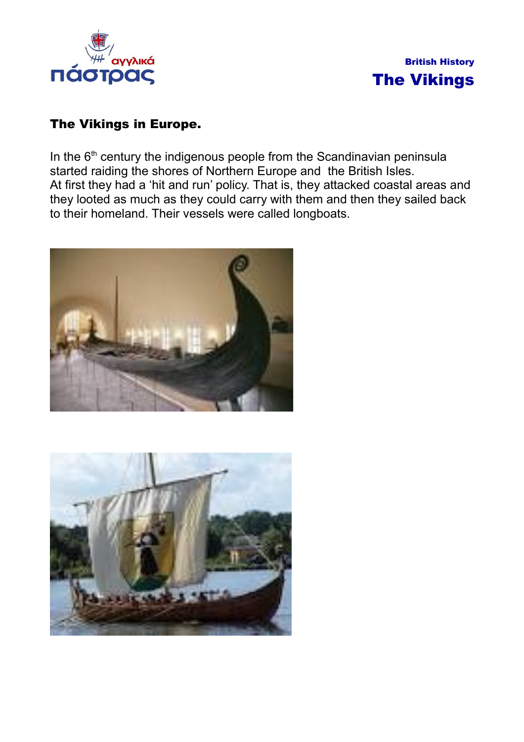



## The Vikings in Europe.

In the 6<sup>th</sup> century the indigenous people from the Scandinavian peninsula started raiding the shores of Northern Europe and the British Isles. At first they had a 'hit and run' policy. That is, they attacked coastal areas and they looted as much as they could carry with them and then they sailed back to their homeland. Their vessels were called longboats.



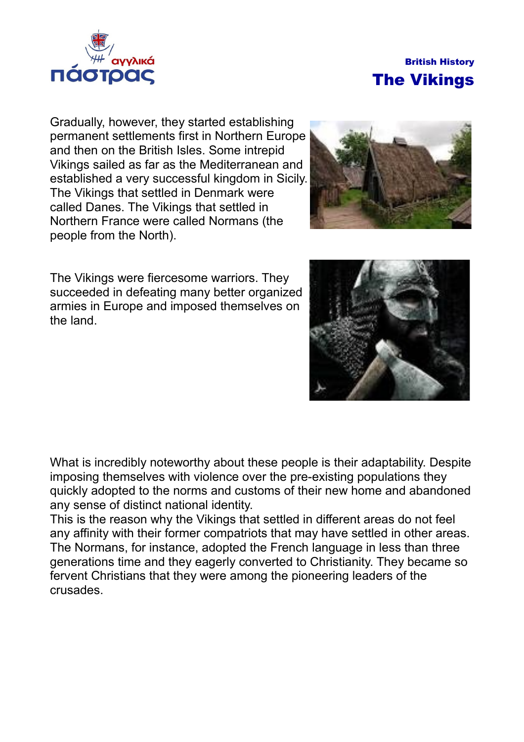



Gradually, however, they started establishing permanent settlements first in Northern Europe and then on the British Isles. Some intrepid Vikings sailed as far as the Mediterranean and established a very successful kingdom in Sicily. The Vikings that settled in Denmark were called Danes. The Vikings that settled in Northern France were called Normans (the people from the North).

The Vikings were fiercesome warriors. They succeeded in defeating many better organized armies in Europe and imposed themselves on the land.



What is incredibly noteworthy about these people is their adaptability. Despite imposing themselves with violence over the pre-existing populations they quickly adopted to the norms and customs of their new home and abandoned any sense of distinct national identity.

This is the reason why the Vikings that settled in different areas do not feel any affinity with their former compatriots that may have settled in other areas. The Normans, for instance, adopted the French language in less than three generations time and they eagerly converted to Christianity. They became so fervent Christians that they were among the pioneering leaders of the crusades.